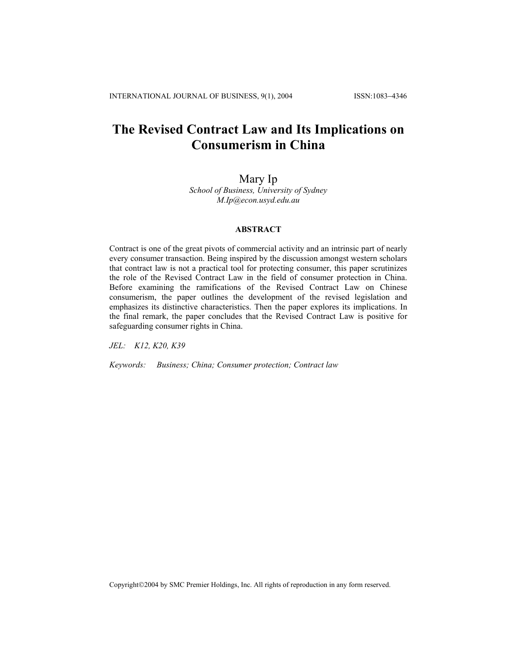# **The Revised Contract Law and Its Implications on Consumerism in China**

# Mary Ip *School of Business, University of Sydney M.Ip@econ.usyd.edu.au*

## **ABSTRACT**

Contract is one of the great pivots of commercial activity and an intrinsic part of nearly every consumer transaction. Being inspired by the discussion amongst western scholars that contract law is not a practical tool for protecting consumer, this paper scrutinizes the role of the Revised Contract Law in the field of consumer protection in China. Before examining the ramifications of the Revised Contract Law on Chinese consumerism, the paper outlines the development of the revised legislation and emphasizes its distinctive characteristics. Then the paper explores its implications. In the final remark, the paper concludes that the Revised Contract Law is positive for safeguarding consumer rights in China.

*JEL: K12, K20, K39* 

*Keywords: Business; China; Consumer protection; Contract law* 

Copyright©2004 by SMC Premier Holdings, Inc. All rights of reproduction in any form reserved.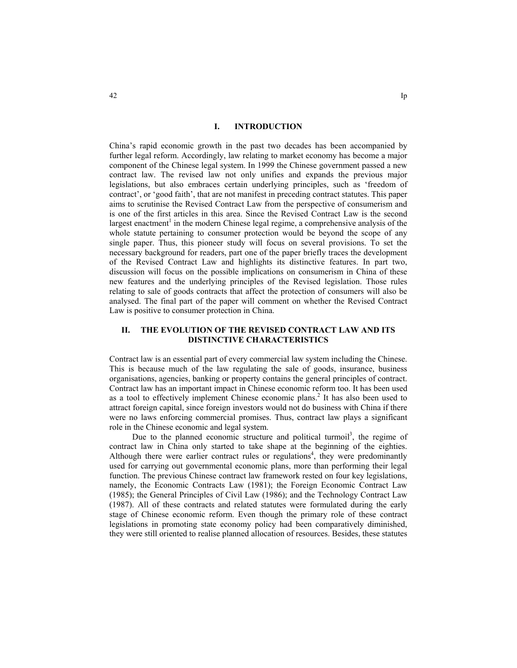## **I. INTRODUCTION**

China's rapid economic growth in the past two decades has been accompanied by further legal reform. Accordingly, law relating to market economy has become a major component of the Chinese legal system. In 1999 the Chinese government passed a new contract law. The revised law not only unifies and expands the previous major legislations, but also embraces certain underlying principles, such as 'freedom of contract', or 'good faith', that are not manifest in preceding contract statutes. This paper aims to scrutinise the Revised Contract Law from the perspective of consumerism and is one of the first articles in this area. Since the Revised Contract Law is the second largest enactment<sup>1</sup> in the modern Chinese legal regime, a comprehensive analysis of the whole statute pertaining to consumer protection would be beyond the scope of any single paper. Thus, this pioneer study will focus on several provisions. To set the necessary background for readers, part one of the paper briefly traces the development of the Revised Contract Law and highlights its distinctive features. In part two, discussion will focus on the possible implications on consumerism in China of these new features and the underlying principles of the Revised legislation. Those rules relating to sale of goods contracts that affect the protection of consumers will also be analysed. The final part of the paper will comment on whether the Revised Contract Law is positive to consumer protection in China.

## **II. THE EVOLUTION OF THE REVISED CONTRACT LAW AND ITS DISTINCTIVE CHARACTERISTICS**

Contract law is an essential part of every commercial law system including the Chinese. This is because much of the law regulating the sale of goods, insurance, business organisations, agencies, banking or property contains the general principles of contract. Contract law has an important impact in Chinese economic reform too. It has been used as a tool to effectively implement Chinese economic plans.<sup>2</sup> It has also been used to attract foreign capital, since foreign investors would not do business with China if there were no laws enforcing commercial promises. Thus, contract law plays a significant role in the Chinese economic and legal system.

Due to the planned economic structure and political turmoil<sup>3</sup>, the regime of contract law in China only started to take shape at the beginning of the eighties. Although there were earlier contract rules or regulations<sup>4</sup>, they were predominantly used for carrying out governmental economic plans, more than performing their legal function. The previous Chinese contract law framework rested on four key legislations, namely, the Economic Contracts Law (1981); the Foreign Economic Contract Law (1985); the General Principles of Civil Law (1986); and the Technology Contract Law (1987). All of these contracts and related statutes were formulated during the early stage of Chinese economic reform. Even though the primary role of these contract legislations in promoting state economy policy had been comparatively diminished, they were still oriented to realise planned allocation of resources. Besides, these statutes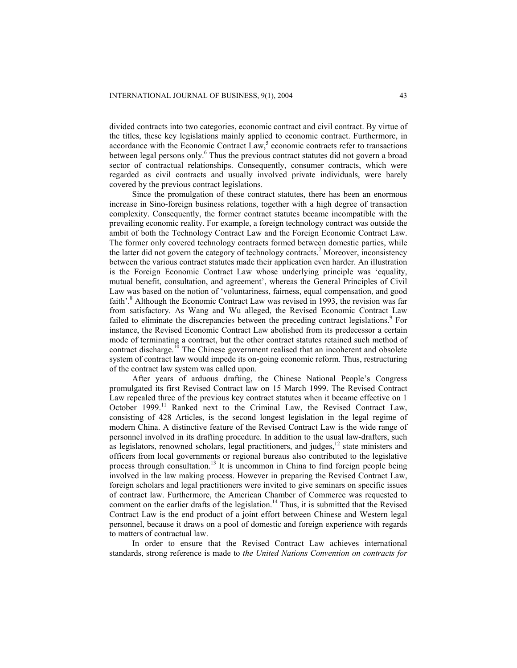divided contracts into two categories, economic contract and civil contract. By virtue of the titles, these key legislations mainly applied to economic contract. Furthermore, in  $\alpha$  accordance with the Economic Contract  $\text{Law}^5$ , economic contracts refer to transactions between legal persons only.<sup>6</sup> Thus the previous contract statutes did not govern a broad sector of contractual relationships. Consequently, consumer contracts, which were regarded as civil contracts and usually involved private individuals, were barely covered by the previous contract legislations.

Since the promulgation of these contract statutes, there has been an enormous increase in Sino-foreign business relations, together with a high degree of transaction complexity. Consequently, the former contract statutes became incompatible with the prevailing economic reality. For example, a foreign technology contract was outside the ambit of both the Technology Contract Law and the Foreign Economic Contract Law. The former only covered technology contracts formed between domestic parties, while the latter did not govern the category of technology contracts.<sup>7</sup> Moreover, inconsistency between the various contract statutes made their application even harder. An illustration is the Foreign Economic Contract Law whose underlying principle was 'equality, mutual benefit, consultation, and agreement', whereas the General Principles of Civil Law was based on the notion of 'voluntariness, fairness, equal compensation, and good faith'.<sup>8</sup> Although the Economic Contract Law was revised in 1993, the revision was far from satisfactory. As Wang and Wu alleged, the Revised Economic Contract Law failed to eliminate the discrepancies between the preceding contract legislations.<sup>9</sup> For instance, the Revised Economic Contract Law abolished from its predecessor a certain mode of terminating a contract, but the other contract statutes retained such method of contract discharge.<sup>10</sup> The Chinese government realised that an incoherent and obsolete system of contract law would impede its on-going economic reform. Thus, restructuring of the contract law system was called upon.

After years of arduous drafting, the Chinese National People's Congress promulgated its first Revised Contract law on 15 March 1999. The Revised Contract Law repealed three of the previous key contract statutes when it became effective on 1 October 1999.<sup>11</sup> Ranked next to the Criminal Law, the Revised Contract Law, consisting of 428 Articles, is the second longest legislation in the legal regime of modern China. A distinctive feature of the Revised Contract Law is the wide range of personnel involved in its drafting procedure. In addition to the usual law-drafters, such as legislators, renowned scholars, legal practitioners, and judges, $12$  state ministers and officers from local governments or regional bureaus also contributed to the legislative process through consultation.<sup>13</sup> It is uncommon in China to find foreign people being involved in the law making process. However in preparing the Revised Contract Law, foreign scholars and legal practitioners were invited to give seminars on specific issues of contract law. Furthermore, the American Chamber of Commerce was requested to comment on the earlier drafts of the legislation.<sup>14</sup> Thus, it is submitted that the Revised Contract Law is the end product of a joint effort between Chinese and Western legal personnel, because it draws on a pool of domestic and foreign experience with regards to matters of contractual law.

In order to ensure that the Revised Contract Law achieves international standards, strong reference is made to *the United Nations Convention on contracts for*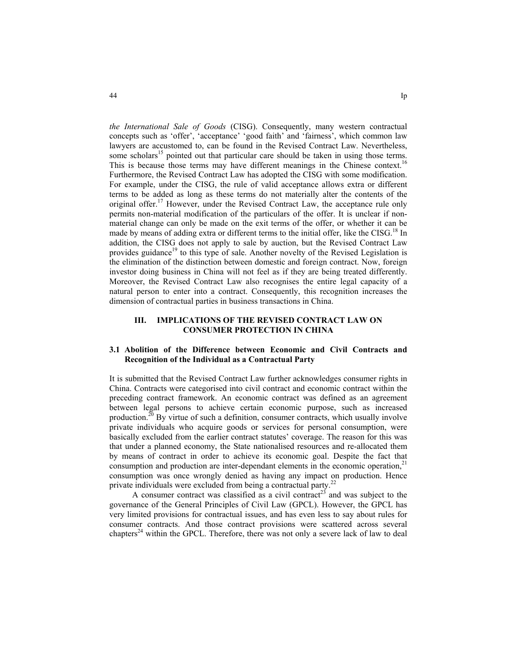*the International Sale of Goods* (CISG). Consequently, many western contractual concepts such as 'offer', 'acceptance' 'good faith' and 'fairness', which common law lawyers are accustomed to, can be found in the Revised Contract Law. Nevertheless, some scholars<sup>15</sup> pointed out that particular care should be taken in using those terms. This is because those terms may have different meanings in the Chinese context.<sup>16</sup> Furthermore, the Revised Contract Law has adopted the CISG with some modification. For example, under the CISG, the rule of valid acceptance allows extra or different terms to be added as long as these terms do not materially alter the contents of the original offer.17 However, under the Revised Contract Law, the acceptance rule only permits non-material modification of the particulars of the offer. It is unclear if nonmaterial change can only be made on the exit terms of the offer, or whether it can be made by means of adding extra or different terms to the initial offer, like the CISG.<sup>18</sup> In addition, the CISG does not apply to sale by auction, but the Revised Contract Law provides guidance<sup>19</sup> to this type of sale. Another novelty of the Revised Legislation is the elimination of the distinction between domestic and foreign contract. Now, foreign investor doing business in China will not feel as if they are being treated differently. Moreover, the Revised Contract Law also recognises the entire legal capacity of a natural person to enter into a contract. Consequently, this recognition increases the dimension of contractual parties in business transactions in China.

## **III. IMPLICATIONS OF THE REVISED CONTRACT LAW ON CONSUMER PROTECTION IN CHINA**

## **3.1 Abolition of the Difference between Economic and Civil Contracts and Recognition of the Individual as a Contractual Party**

It is submitted that the Revised Contract Law further acknowledges consumer rights in China. Contracts were categorised into civil contract and economic contract within the preceding contract framework. An economic contract was defined as an agreement between legal persons to achieve certain economic purpose, such as increased production.<sup>20</sup> By virtue of such a definition, consumer contracts, which usually involve private individuals who acquire goods or services for personal consumption, were basically excluded from the earlier contract statutes' coverage. The reason for this was that under a planned economy, the State nationalised resources and re-allocated them by means of contract in order to achieve its economic goal. Despite the fact that consumption and production are inter-dependant elements in the economic operation, $2<sup>1</sup>$ consumption was once wrongly denied as having any impact on production. Hence private individuals were excluded from being a contractual party.<sup>22</sup>

A consumer contract was classified as a civil contract<sup>23</sup> and was subject to the governance of the General Principles of Civil Law (GPCL). However, the GPCL has very limited provisions for contractual issues, and has even less to say about rules for consumer contracts. And those contract provisions were scattered across several chapters<sup>24</sup> within the GPCL. Therefore, there was not only a severe lack of law to deal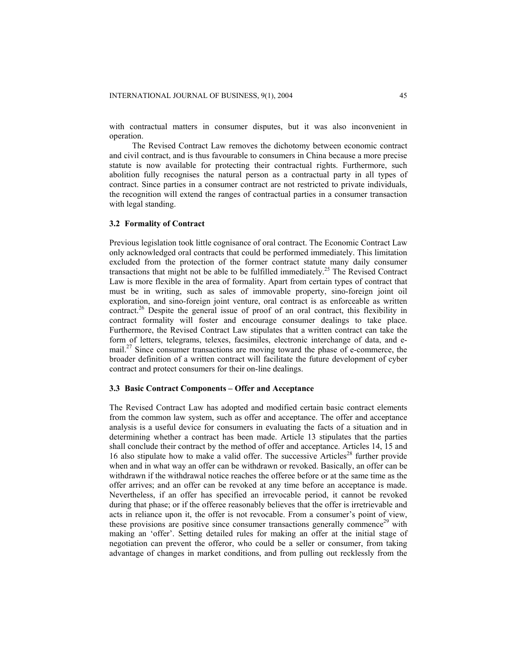with contractual matters in consumer disputes, but it was also inconvenient in operation.

The Revised Contract Law removes the dichotomy between economic contract and civil contract, and is thus favourable to consumers in China because a more precise statute is now available for protecting their contractual rights. Furthermore, such abolition fully recognises the natural person as a contractual party in all types of contract. Since parties in a consumer contract are not restricted to private individuals, the recognition will extend the ranges of contractual parties in a consumer transaction with legal standing.

#### **3.2 Formality of Contract**

Previous legislation took little cognisance of oral contract. The Economic Contract Law only acknowledged oral contracts that could be performed immediately. This limitation excluded from the protection of the former contract statute many daily consumer transactions that might not be able to be fulfilled immediately.<sup>25</sup> The Revised Contract Law is more flexible in the area of formality. Apart from certain types of contract that must be in writing, such as sales of immovable property, sino-foreign joint oil exploration, and sino-foreign joint venture, oral contract is as enforceable as written contract.<sup>26</sup> Despite the general issue of proof of an oral contract, this flexibility in contract formality will foster and encourage consumer dealings to take place. Furthermore, the Revised Contract Law stipulates that a written contract can take the form of letters, telegrams, telexes, facsimiles, electronic interchange of data, and email.<sup>27</sup> Since consumer transactions are moving toward the phase of e-commerce, the broader definition of a written contract will facilitate the future development of cyber contract and protect consumers for their on-line dealings.

#### **3.3 Basic Contract Components – Offer and Acceptance**

The Revised Contract Law has adopted and modified certain basic contract elements from the common law system, such as offer and acceptance. The offer and acceptance analysis is a useful device for consumers in evaluating the facts of a situation and in determining whether a contract has been made. Article 13 stipulates that the parties shall conclude their contract by the method of offer and acceptance. Articles 14, 15 and 16 also stipulate how to make a valid offer. The successive Articles<sup>28</sup> further provide when and in what way an offer can be withdrawn or revoked. Basically, an offer can be withdrawn if the withdrawal notice reaches the offeree before or at the same time as the offer arrives; and an offer can be revoked at any time before an acceptance is made. Nevertheless, if an offer has specified an irrevocable period, it cannot be revoked during that phase; or if the offeree reasonably believes that the offer is irretrievable and acts in reliance upon it, the offer is not revocable. From a consumer's point of view, these provisions are positive since consumer transactions generally commence<sup>29</sup> with making an 'offer'. Setting detailed rules for making an offer at the initial stage of negotiation can prevent the offeror, who could be a seller or consumer, from taking advantage of changes in market conditions, and from pulling out recklessly from the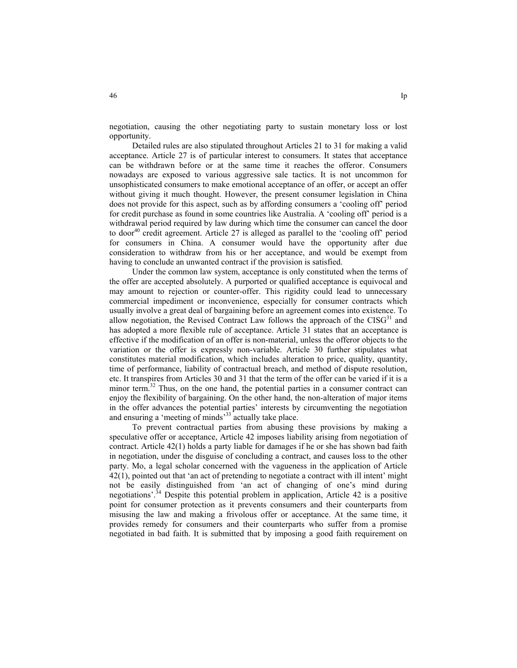negotiation, causing the other negotiating party to sustain monetary loss or lost opportunity.

Detailed rules are also stipulated throughout Articles 21 to 31 for making a valid acceptance. Article 27 is of particular interest to consumers. It states that acceptance can be withdrawn before or at the same time it reaches the offeror. Consumers nowadays are exposed to various aggressive sale tactics. It is not uncommon for unsophisticated consumers to make emotional acceptance of an offer, or accept an offer without giving it much thought. However, the present consumer legislation in China does not provide for this aspect, such as by affording consumers a 'cooling off' period for credit purchase as found in some countries like Australia. A 'cooling off' period is a withdrawal period required by law during which time the consumer can cancel the door to door<sup>40</sup> credit agreement. Article 27 is alleged as parallel to the 'cooling off' period for consumers in China. A consumer would have the opportunity after due consideration to withdraw from his or her acceptance, and would be exempt from having to conclude an unwanted contract if the provision is satisfied.

Under the common law system, acceptance is only constituted when the terms of the offer are accepted absolutely. A purported or qualified acceptance is equivocal and may amount to rejection or counter-offer. This rigidity could lead to unnecessary commercial impediment or inconvenience, especially for consumer contracts which usually involve a great deal of bargaining before an agreement comes into existence. To allow negotiation, the Revised Contract Law follows the approach of the  $CISG<sup>31</sup>$  and has adopted a more flexible rule of acceptance. Article 31 states that an acceptance is effective if the modification of an offer is non-material, unless the offeror objects to the variation or the offer is expressly non-variable. Article 30 further stipulates what constitutes material modification, which includes alteration to price, quality, quantity, time of performance, liability of contractual breach, and method of dispute resolution, etc. It transpires from Articles 30 and 31 that the term of the offer can be varied if it is a minor term.<sup>32</sup> Thus, on the one hand, the potential parties in a consumer contract can enjoy the flexibility of bargaining. On the other hand, the non-alteration of major items in the offer advances the potential parties' interests by circumventing the negotiation and ensuring a 'meeting of minds'<sup>33</sup> actually take place.

To prevent contractual parties from abusing these provisions by making a speculative offer or acceptance, Article 42 imposes liability arising from negotiation of contract. Article 42(1) holds a party liable for damages if he or she has shown bad faith in negotiation, under the disguise of concluding a contract, and causes loss to the other party. Mo, a legal scholar concerned with the vagueness in the application of Article 42(1), pointed out that 'an act of pretending to negotiate a contract with ill intent' might not be easily distinguished from 'an act of changing of one's mind during negotiations'.<sup>34</sup> Despite this potential problem in application, Article 42 is a positive point for consumer protection as it prevents consumers and their counterparts from misusing the law and making a frivolous offer or acceptance. At the same time, it provides remedy for consumers and their counterparts who suffer from a promise negotiated in bad faith. It is submitted that by imposing a good faith requirement on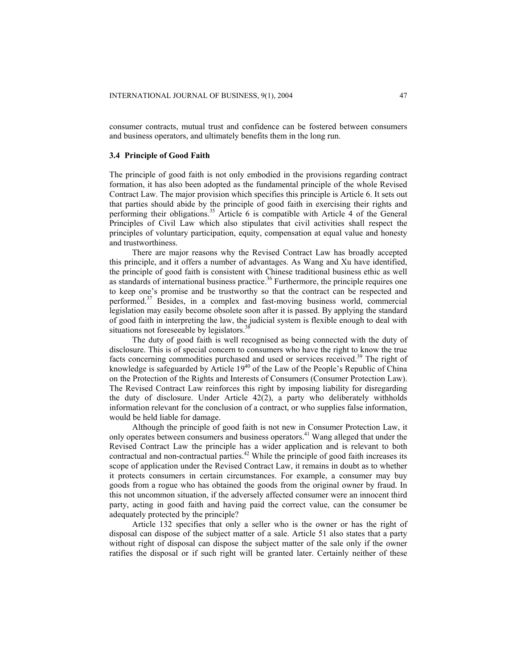consumer contracts, mutual trust and confidence can be fostered between consumers and business operators, and ultimately benefits them in the long run.

#### **3.4 Principle of Good Faith**

The principle of good faith is not only embodied in the provisions regarding contract formation, it has also been adopted as the fundamental principle of the whole Revised Contract Law. The major provision which specifies this principle is Article 6. It sets out that parties should abide by the principle of good faith in exercising their rights and performing their obligations.<sup>35</sup> Article 6 is compatible with Article 4 of the General Principles of Civil Law which also stipulates that civil activities shall respect the principles of voluntary participation, equity, compensation at equal value and honesty and trustworthiness.

There are major reasons why the Revised Contract Law has broadly accepted this principle, and it offers a number of advantages. As Wang and Xu have identified, the principle of good faith is consistent with Chinese traditional business ethic as well as standards of international business practice.<sup>36</sup> Furthermore, the principle requires one to keep one's promise and be trustworthy so that the contract can be respected and performed.37 Besides, in a complex and fast-moving business world, commercial legislation may easily become obsolete soon after it is passed. By applying the standard of good faith in interpreting the law, the judicial system is flexible enough to deal with situations not foreseeable by legislators.<sup>3</sup>

The duty of good faith is well recognised as being connected with the duty of disclosure. This is of special concern to consumers who have the right to know the true facts concerning commodities purchased and used or services received.<sup>39</sup> The right of knowledge is safeguarded by Article 19<sup>40</sup> of the Law of the People's Republic of China on the Protection of the Rights and Interests of Consumers (Consumer Protection Law). The Revised Contract Law reinforces this right by imposing liability for disregarding the duty of disclosure. Under Article  $42(2)$ , a party who deliberately withholds information relevant for the conclusion of a contract, or who supplies false information, would be held liable for damage.

Although the principle of good faith is not new in Consumer Protection Law, it only operates between consumers and business operators.41 Wang alleged that under the Revised Contract Law the principle has a wider application and is relevant to both contractual and non-contractual parties.<sup>42</sup> While the principle of good faith increases its scope of application under the Revised Contract Law, it remains in doubt as to whether it protects consumers in certain circumstances. For example, a consumer may buy goods from a rogue who has obtained the goods from the original owner by fraud. In this not uncommon situation, if the adversely affected consumer were an innocent third party, acting in good faith and having paid the correct value, can the consumer be adequately protected by the principle?

Article 132 specifies that only a seller who is the owner or has the right of disposal can dispose of the subject matter of a sale. Article 51 also states that a party without right of disposal can dispose the subject matter of the sale only if the owner ratifies the disposal or if such right will be granted later. Certainly neither of these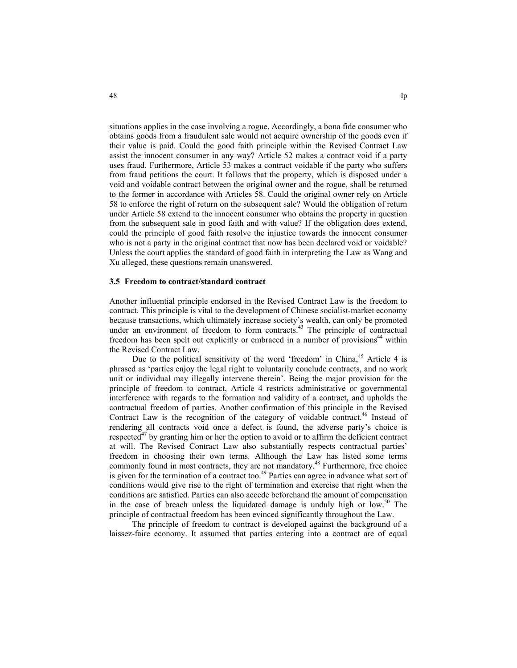situations applies in the case involving a rogue. Accordingly, a bona fide consumer who obtains goods from a fraudulent sale would not acquire ownership of the goods even if their value is paid. Could the good faith principle within the Revised Contract Law assist the innocent consumer in any way? Article 52 makes a contract void if a party uses fraud. Furthermore, Article 53 makes a contract voidable if the party who suffers from fraud petitions the court. It follows that the property, which is disposed under a void and voidable contract between the original owner and the rogue, shall be returned to the former in accordance with Articles 58. Could the original owner rely on Article 58 to enforce the right of return on the subsequent sale? Would the obligation of return under Article 58 extend to the innocent consumer who obtains the property in question from the subsequent sale in good faith and with value? If the obligation does extend, could the principle of good faith resolve the injustice towards the innocent consumer who is not a party in the original contract that now has been declared void or voidable? Unless the court applies the standard of good faith in interpreting the Law as Wang and Xu alleged, these questions remain unanswered.

#### **3.5 Freedom to contract/standard contract**

Another influential principle endorsed in the Revised Contract Law is the freedom to contract. This principle is vital to the development of Chinese socialist-market economy because transactions, which ultimately increase society's wealth, can only be promoted under an environment of freedom to form contracts.<sup>43</sup> The principle of contractual freedom has been spelt out explicitly or embraced in a number of provisions<sup>44</sup> within the Revised Contract Law.

Due to the political sensitivity of the word 'freedom' in China,<sup>45</sup> Article 4 is phrased as 'parties enjoy the legal right to voluntarily conclude contracts, and no work unit or individual may illegally intervene therein'. Being the major provision for the principle of freedom to contract, Article 4 restricts administrative or governmental interference with regards to the formation and validity of a contract, and upholds the contractual freedom of parties. Another confirmation of this principle in the Revised Contract Law is the recognition of the category of voidable contract. 46 Instead of rendering all contracts void once a defect is found, the adverse party's choice is respected<sup>47</sup> by granting him or her the option to avoid or to affirm the deficient contract at will. The Revised Contract Law also substantially respects contractual parties' freedom in choosing their own terms. Although the Law has listed some terms commonly found in most contracts, they are not mandatory. 48 Furthermore, free choice is given for the termination of a contract too.<sup>49</sup> Parties can agree in advance what sort of conditions would give rise to the right of termination and exercise that right when the conditions are satisfied. Parties can also accede beforehand the amount of compensation in the case of breach unless the liquidated damage is unduly high or low.<sup>50</sup> The principle of contractual freedom has been evinced significantly throughout the Law.

The principle of freedom to contract is developed against the background of a laissez-faire economy. It assumed that parties entering into a contract are of equal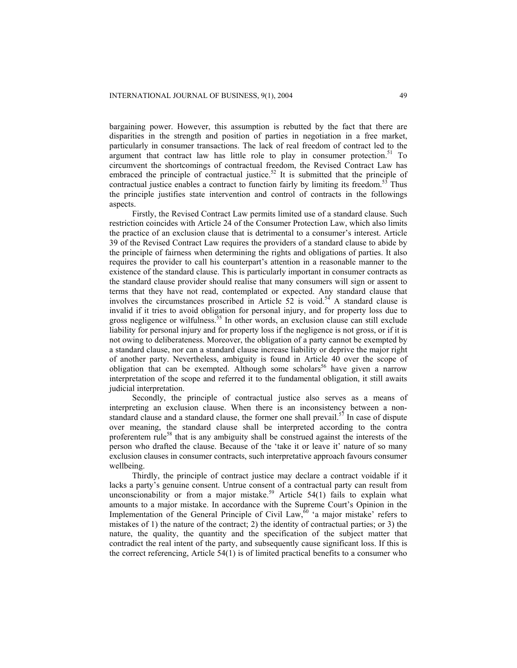bargaining power. However, this assumption is rebutted by the fact that there are disparities in the strength and position of parties in negotiation in a free market, particularly in consumer transactions. The lack of real freedom of contract led to the argument that contract law has little role to play in consumer protection.<sup>51</sup> To circumvent the shortcomings of contractual freedom, the Revised Contract Law has embraced the principle of contractual justice.<sup>52</sup> It is submitted that the principle of contractual justice enables a contract to function fairly by limiting its freedom. $53$  Thus the principle justifies state intervention and control of contracts in the followings aspects.

Firstly, the Revised Contract Law permits limited use of a standard clause. Such restriction coincides with Article 24 of the Consumer Protection Law, which also limits the practice of an exclusion clause that is detrimental to a consumer's interest. Article 39 of the Revised Contract Law requires the providers of a standard clause to abide by the principle of fairness when determining the rights and obligations of parties. It also requires the provider to call his counterpart's attention in a reasonable manner to the existence of the standard clause. This is particularly important in consumer contracts as the standard clause provider should realise that many consumers will sign or assent to terms that they have not read, contemplated or expected. Any standard clause that involves the circumstances proscribed in Article 52 is void.<sup>54</sup> A standard clause is invalid if it tries to avoid obligation for personal injury, and for property loss due to gross negligence or wilfulness.<sup>55</sup> In other words, an exclusion clause can still exclude liability for personal injury and for property loss if the negligence is not gross, or if it is not owing to deliberateness. Moreover, the obligation of a party cannot be exempted by a standard clause, nor can a standard clause increase liability or deprive the major right of another party. Nevertheless, ambiguity is found in Article 40 over the scope of obligation that can be exempted. Although some scholars<sup>56</sup> have given a narrow interpretation of the scope and referred it to the fundamental obligation, it still awaits judicial interpretation.

Secondly, the principle of contractual justice also serves as a means of interpreting an exclusion clause. When there is an inconsistency between a nonstandard clause and a standard clause, the former one shall prevail.<sup>57</sup> In case of dispute over meaning, the standard clause shall be interpreted according to the contra proferentem rule<sup>58</sup> that is any ambiguity shall be construed against the interests of the person who drafted the clause. Because of the 'take it or leave it' nature of so many exclusion clauses in consumer contracts, such interpretative approach favours consumer wellbeing.

Thirdly, the principle of contract justice may declare a contract voidable if it lacks a party's genuine consent. Untrue consent of a contractual party can result from unconscionability or from a major mistake.<sup>59</sup> Article 54(1) fails to explain what amounts to a major mistake. In accordance with the Supreme Court's Opinion in the Implementation of the General Principle of Civil Law, $\hat{p}$  'a major mistake' refers to mistakes of 1) the nature of the contract; 2) the identity of contractual parties; or 3) the nature, the quality, the quantity and the specification of the subject matter that contradict the real intent of the party, and subsequently cause significant loss. If this is the correct referencing, Article 54(1) is of limited practical benefits to a consumer who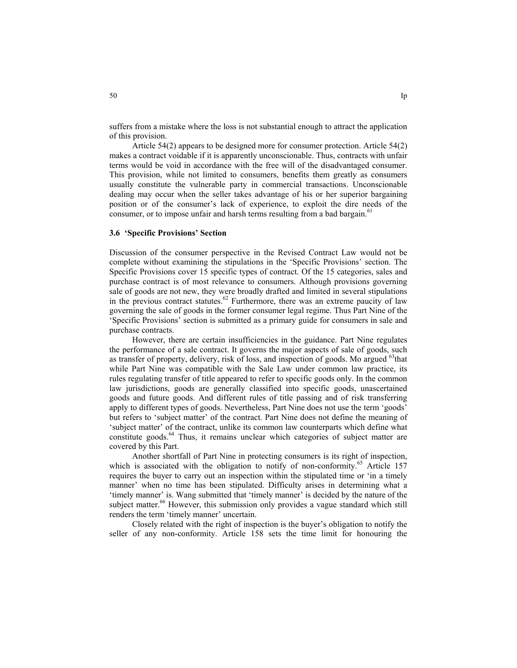suffers from a mistake where the loss is not substantial enough to attract the application of this provision.

Article 54(2) appears to be designed more for consumer protection. Article 54(2) makes a contract voidable if it is apparently unconscionable. Thus, contracts with unfair terms would be void in accordance with the free will of the disadvantaged consumer. This provision, while not limited to consumers, benefits them greatly as consumers usually constitute the vulnerable party in commercial transactions. Unconscionable dealing may occur when the seller takes advantage of his or her superior bargaining position or of the consumer's lack of experience, to exploit the dire needs of the consumer, or to impose unfair and harsh terms resulting from a bad bargain.<sup>61</sup>

## **3.6 'Specific Provisions' Section**

Discussion of the consumer perspective in the Revised Contract Law would not be complete without examining the stipulations in the 'Specific Provisions' section. The Specific Provisions cover 15 specific types of contract. Of the 15 categories, sales and purchase contract is of most relevance to consumers. Although provisions governing sale of goods are not new, they were broadly drafted and limited in several stipulations in the previous contract statutes.<sup>62</sup> Furthermore, there was an extreme paucity of law governing the sale of goods in the former consumer legal regime. Thus Part Nine of the 'Specific Provisions' section is submitted as a primary guide for consumers in sale and purchase contracts.

However, there are certain insufficiencies in the guidance. Part Nine regulates the performance of a sale contract. It governs the major aspects of sale of goods, such as transfer of property, delivery, risk of loss, and inspection of goods. Mo argued  $\delta$ <sup>63</sup>that while Part Nine was compatible with the Sale Law under common law practice, its rules regulating transfer of title appeared to refer to specific goods only. In the common law jurisdictions, goods are generally classified into specific goods, unascertained goods and future goods. And different rules of title passing and of risk transferring apply to different types of goods. Nevertheless, Part Nine does not use the term 'goods' but refers to 'subject matter' of the contract. Part Nine does not define the meaning of 'subject matter' of the contract, unlike its common law counterparts which define what constitute goods.<sup>64</sup> Thus, it remains unclear which categories of subject matter are covered by this Part.

Another shortfall of Part Nine in protecting consumers is its right of inspection, which is associated with the obligation to notify of non-conformity.<sup>65</sup> Article 157 requires the buyer to carry out an inspection within the stipulated time or 'in a timely manner' when no time has been stipulated. Difficulty arises in determining what a 'timely manner' is. Wang submitted that 'timely manner' is decided by the nature of the subject matter.<sup>66</sup> However, this submission only provides a vague standard which still renders the term 'timely manner' uncertain.

Closely related with the right of inspection is the buyer's obligation to notify the seller of any non-conformity. Article 158 sets the time limit for honouring the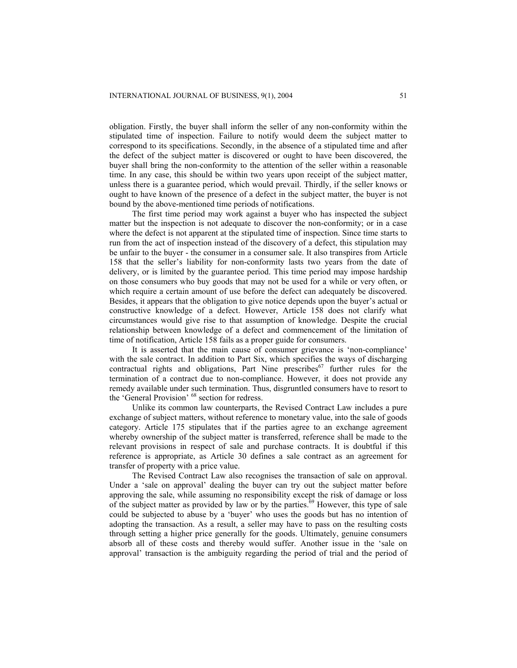obligation. Firstly, the buyer shall inform the seller of any non-conformity within the stipulated time of inspection. Failure to notify would deem the subject matter to correspond to its specifications. Secondly, in the absence of a stipulated time and after the defect of the subject matter is discovered or ought to have been discovered, the buyer shall bring the non-conformity to the attention of the seller within a reasonable time. In any case, this should be within two years upon receipt of the subject matter, unless there is a guarantee period, which would prevail. Thirdly, if the seller knows or ought to have known of the presence of a defect in the subject matter, the buyer is not bound by the above-mentioned time periods of notifications.

The first time period may work against a buyer who has inspected the subject matter but the inspection is not adequate to discover the non-conformity; or in a case where the defect is not apparent at the stipulated time of inspection. Since time starts to run from the act of inspection instead of the discovery of a defect, this stipulation may be unfair to the buyer - the consumer in a consumer sale. It also transpires from Article 158 that the seller's liability for non-conformity lasts two years from the date of delivery, or is limited by the guarantee period. This time period may impose hardship on those consumers who buy goods that may not be used for a while or very often, or which require a certain amount of use before the defect can adequately be discovered. Besides, it appears that the obligation to give notice depends upon the buyer's actual or constructive knowledge of a defect. However, Article 158 does not clarify what circumstances would give rise to that assumption of knowledge. Despite the crucial relationship between knowledge of a defect and commencement of the limitation of time of notification, Article 158 fails as a proper guide for consumers.

It is asserted that the main cause of consumer grievance is 'non-compliance' with the sale contract. In addition to Part Six, which specifies the ways of discharging contractual rights and obligations, Part Nine prescribes $67$  further rules for the termination of a contract due to non-compliance. However, it does not provide any remedy available under such termination. Thus, disgruntled consumers have to resort to the 'General Provision' 68 section for redress.

Unlike its common law counterparts, the Revised Contract Law includes a pure exchange of subject matters, without reference to monetary value, into the sale of goods category. Article 175 stipulates that if the parties agree to an exchange agreement whereby ownership of the subject matter is transferred, reference shall be made to the relevant provisions in respect of sale and purchase contracts. It is doubtful if this reference is appropriate, as Article 30 defines a sale contract as an agreement for transfer of property with a price value.

The Revised Contract Law also recognises the transaction of sale on approval. Under a 'sale on approval' dealing the buyer can try out the subject matter before approving the sale, while assuming no responsibility except the risk of damage or loss of the subject matter as provided by law or by the parties. $69$  However, this type of sale could be subjected to abuse by a 'buyer' who uses the goods but has no intention of adopting the transaction. As a result, a seller may have to pass on the resulting costs through setting a higher price generally for the goods. Ultimately, genuine consumers absorb all of these costs and thereby would suffer. Another issue in the 'sale on approval' transaction is the ambiguity regarding the period of trial and the period of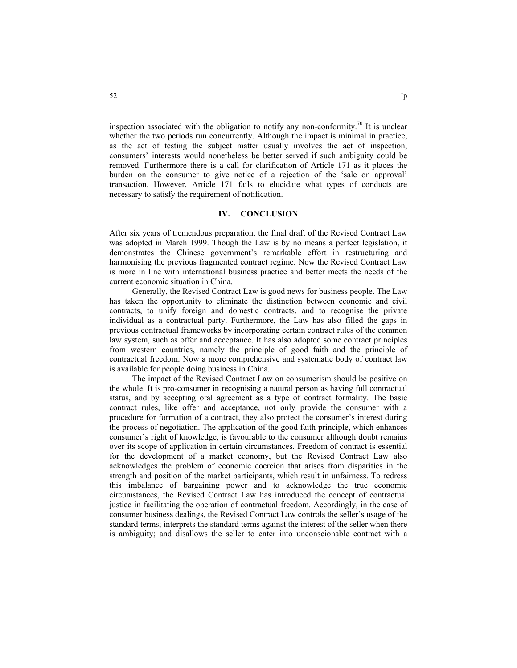inspection associated with the obligation to notify any non-conformity.<sup>70</sup> It is unclear whether the two periods run concurrently. Although the impact is minimal in practice, as the act of testing the subject matter usually involves the act of inspection, consumers' interests would nonetheless be better served if such ambiguity could be removed. Furthermore there is a call for clarification of Article 171 as it places the burden on the consumer to give notice of a rejection of the 'sale on approval' transaction. However, Article 171 fails to elucidate what types of conducts are necessary to satisfy the requirement of notification.

## **IV. CONCLUSION**

After six years of tremendous preparation, the final draft of the Revised Contract Law was adopted in March 1999. Though the Law is by no means a perfect legislation, it demonstrates the Chinese government's remarkable effort in restructuring and harmonising the previous fragmented contract regime. Now the Revised Contract Law is more in line with international business practice and better meets the needs of the current economic situation in China.

Generally, the Revised Contract Law is good news for business people. The Law has taken the opportunity to eliminate the distinction between economic and civil contracts, to unify foreign and domestic contracts, and to recognise the private individual as a contractual party. Furthermore, the Law has also filled the gaps in previous contractual frameworks by incorporating certain contract rules of the common law system, such as offer and acceptance. It has also adopted some contract principles from western countries, namely the principle of good faith and the principle of contractual freedom. Now a more comprehensive and systematic body of contract law is available for people doing business in China.

The impact of the Revised Contract Law on consumerism should be positive on the whole. It is pro-consumer in recognising a natural person as having full contractual status, and by accepting oral agreement as a type of contract formality. The basic contract rules, like offer and acceptance, not only provide the consumer with a procedure for formation of a contract, they also protect the consumer's interest during the process of negotiation. The application of the good faith principle, which enhances consumer's right of knowledge, is favourable to the consumer although doubt remains over its scope of application in certain circumstances. Freedom of contract is essential for the development of a market economy, but the Revised Contract Law also acknowledges the problem of economic coercion that arises from disparities in the strength and position of the market participants, which result in unfairness. To redress this imbalance of bargaining power and to acknowledge the true economic circumstances, the Revised Contract Law has introduced the concept of contractual justice in facilitating the operation of contractual freedom. Accordingly, in the case of consumer business dealings, the Revised Contract Law controls the seller's usage of the standard terms; interprets the standard terms against the interest of the seller when there is ambiguity; and disallows the seller to enter into unconscionable contract with a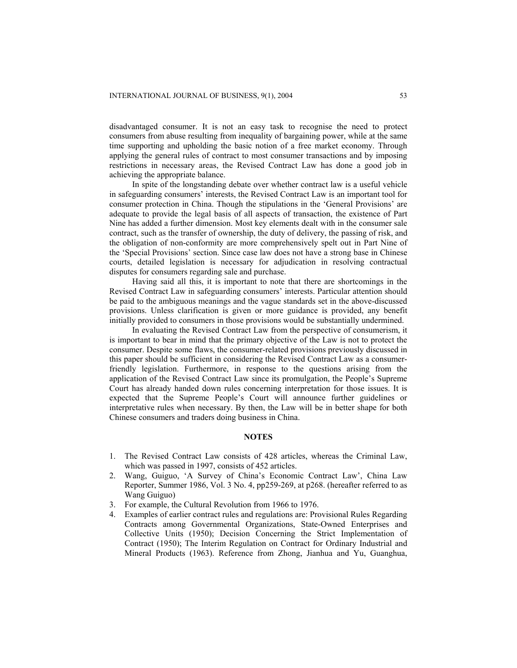disadvantaged consumer. It is not an easy task to recognise the need to protect consumers from abuse resulting from inequality of bargaining power, while at the same time supporting and upholding the basic notion of a free market economy. Through applying the general rules of contract to most consumer transactions and by imposing restrictions in necessary areas, the Revised Contract Law has done a good job in achieving the appropriate balance.

In spite of the longstanding debate over whether contract law is a useful vehicle in safeguarding consumers' interests, the Revised Contract Law is an important tool for consumer protection in China. Though the stipulations in the 'General Provisions' are adequate to provide the legal basis of all aspects of transaction, the existence of Part Nine has added a further dimension. Most key elements dealt with in the consumer sale contract, such as the transfer of ownership, the duty of delivery, the passing of risk, and the obligation of non-conformity are more comprehensively spelt out in Part Nine of the 'Special Provisions' section. Since case law does not have a strong base in Chinese courts, detailed legislation is necessary for adjudication in resolving contractual disputes for consumers regarding sale and purchase.

Having said all this, it is important to note that there are shortcomings in the Revised Contract Law in safeguarding consumers' interests. Particular attention should be paid to the ambiguous meanings and the vague standards set in the above-discussed provisions. Unless clarification is given or more guidance is provided, any benefit initially provided to consumers in those provisions would be substantially undermined.

In evaluating the Revised Contract Law from the perspective of consumerism, it is important to bear in mind that the primary objective of the Law is not to protect the consumer. Despite some flaws, the consumer-related provisions previously discussed in this paper should be sufficient in considering the Revised Contract Law as a consumerfriendly legislation. Furthermore, in response to the questions arising from the application of the Revised Contract Law since its promulgation, the People's Supreme Court has already handed down rules concerning interpretation for those issues. It is expected that the Supreme People's Court will announce further guidelines or interpretative rules when necessary. By then, the Law will be in better shape for both Chinese consumers and traders doing business in China.

## **NOTES**

- 1. The Revised Contract Law consists of 428 articles, whereas the Criminal Law, which was passed in 1997, consists of 452 articles.
- 2. Wang, Guiguo, 'A Survey of China's Economic Contract Law', China Law Reporter, Summer 1986, Vol. 3 No. 4, pp259-269, at p268. (hereafter referred to as Wang Guiguo)
- 3. For example, the Cultural Revolution from 1966 to 1976.
- 4. Examples of earlier contract rules and regulations are: Provisional Rules Regarding Contracts among Governmental Organizations, State-Owned Enterprises and Collective Units (1950); Decision Concerning the Strict Implementation of Contract (1950); The Interim Regulation on Contract for Ordinary Industrial and Mineral Products (1963). Reference from Zhong, Jianhua and Yu, Guanghua,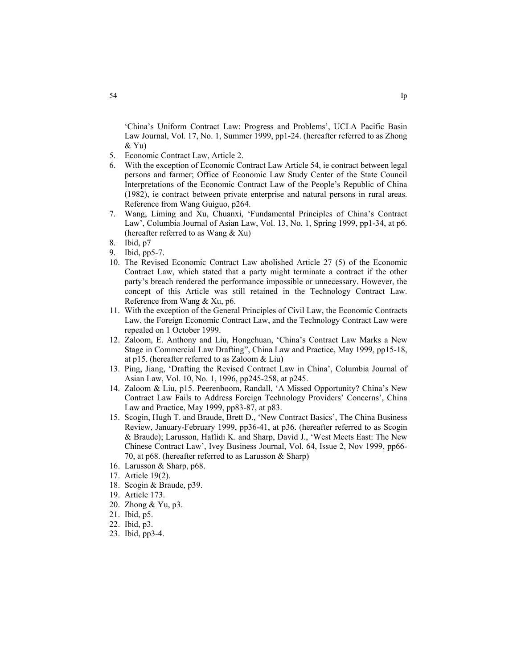'China's Uniform Contract Law: Progress and Problems', UCLA Pacific Basin Law Journal, Vol. 17, No. 1, Summer 1999, pp1-24. (hereafter referred to as Zhong & Yu)

- 5. Economic Contract Law, Article 2.
- 6. With the exception of Economic Contract Law Article 54, ie contract between legal persons and farmer; Office of Economic Law Study Center of the State Council Interpretations of the Economic Contract Law of the People's Republic of China (1982), ie contract between private enterprise and natural persons in rural areas. Reference from Wang Guiguo, p264.
- 7. Wang, Liming and Xu, Chuanxi, 'Fundamental Principles of China's Contract Law', Columbia Journal of Asian Law, Vol. 13, No. 1, Spring 1999, pp1-34, at p6. (hereafter referred to as Wang & Xu)
- 8. Ibid, p7
- 9. Ibid, pp5-7.
- 10. The Revised Economic Contract Law abolished Article 27 (5) of the Economic Contract Law, which stated that a party might terminate a contract if the other party's breach rendered the performance impossible or unnecessary. However, the concept of this Article was still retained in the Technology Contract Law. Reference from Wang & Xu, p6.
- 11. With the exception of the General Principles of Civil Law, the Economic Contracts Law, the Foreign Economic Contract Law, and the Technology Contract Law were repealed on 1 October 1999.
- 12. Zaloom, E. Anthony and Liu, Hongchuan, 'China's Contract Law Marks a New Stage in Commercial Law Drafting", China Law and Practice, May 1999, pp15-18, at p15. (hereafter referred to as Zaloom & Liu)
- 13. Ping, Jiang, 'Drafting the Revised Contract Law in China', Columbia Journal of Asian Law, Vol. 10, No. 1, 1996, pp245-258, at p245.
- 14. Zaloom & Liu, p15. Peerenboom, Randall, 'A Missed Opportunity? China's New Contract Law Fails to Address Foreign Technology Providers' Concerns', China Law and Practice, May 1999, pp83-87, at p83.
- 15. Scogin, Hugh T. and Braude, Brett D., 'New Contract Basics', The China Business Review, January-February 1999, pp36-41, at p36. (hereafter referred to as Scogin & Braude); Larusson, Haflidi K. and Sharp, David J., 'West Meets East: The New Chinese Contract Law', Ivey Business Journal, Vol. 64, Issue 2, Nov 1999, pp66- 70, at p68. (hereafter referred to as Larusson & Sharp)
- 16. Larusson & Sharp, p68.
- 17. Article 19(2).
- 18. Scogin & Braude, p39.
- 19. Article 173.
- 20. Zhong & Yu, p3.
- 21. Ibid, p5.
- 22. Ibid, p3.
- 23. Ibid, pp3-4.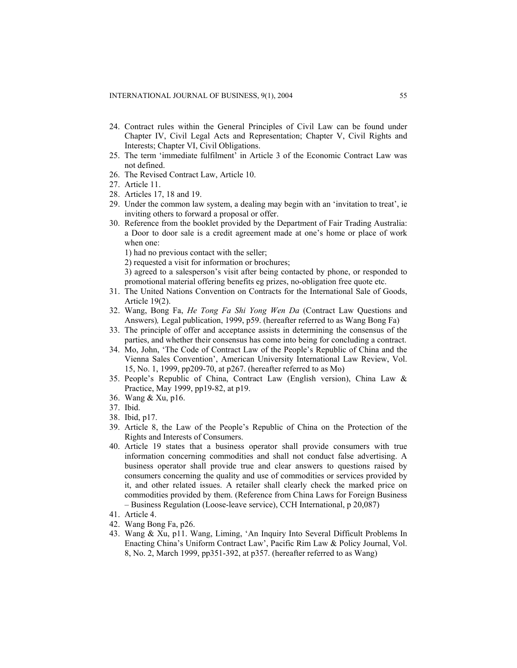- 24. Contract rules within the General Principles of Civil Law can be found under Chapter IV, Civil Legal Acts and Representation; Chapter V, Civil Rights and Interests; Chapter VI, Civil Obligations.
- 25. The term 'immediate fulfilment' in Article 3 of the Economic Contract Law was not defined.
- 26. The Revised Contract Law, Article 10.
- 27. Article 11.
- 28. Articles 17, 18 and 19.
- 29. Under the common law system, a dealing may begin with an 'invitation to treat', ie inviting others to forward a proposal or offer.
- 30. Reference from the booklet provided by the Department of Fair Trading Australia: a Door to door sale is a credit agreement made at one's home or place of work when one:
	- 1) had no previous contact with the seller;
	- 2) requested a visit for information or brochures;
	- 3) agreed to a salesperson's visit after being contacted by phone, or responded to promotional material offering benefits eg prizes, no-obligation free quote etc.
- 31. The United Nations Convention on Contracts for the International Sale of Goods, Article 19(2).
- 32. Wang, Bong Fa, *He Tong Fa Shi Yong Wen Da* (Contract Law Questions and Answers)*,* Legal publication, 1999, p59. (hereafter referred to as Wang Bong Fa)
- 33. The principle of offer and acceptance assists in determining the consensus of the parties, and whether their consensus has come into being for concluding a contract.
- 34. Mo, John, 'The Code of Contract Law of the People's Republic of China and the Vienna Sales Convention', American University International Law Review, Vol. 15, No. 1, 1999, pp209-70, at p267. (hereafter referred to as Mo)
- 35. People's Republic of China, Contract Law (English version), China Law & Practice, May 1999, pp19-82, at p19.
- 36. Wang & Xu, p16.
- 37. Ibid.
- 38. Ibid, p17.
- 39. Article 8, the Law of the People's Republic of China on the Protection of the Rights and Interests of Consumers.
- 40. Article 19 states that a business operator shall provide consumers with true information concerning commodities and shall not conduct false advertising. A business operator shall provide true and clear answers to questions raised by consumers concerning the quality and use of commodities or services provided by it, and other related issues. A retailer shall clearly check the marked price on commodities provided by them. (Reference from China Laws for Foreign Business – Business Regulation (Loose-leave service), CCH International, p 20,087)
- 41. Article 4.
- 42. Wang Bong Fa, p26.
- 43. Wang & Xu, p11. Wang, Liming, 'An Inquiry Into Several Difficult Problems In Enacting China's Uniform Contract Law', Pacific Rim Law & Policy Journal, Vol. 8, No. 2, March 1999, pp351-392, at p357. (hereafter referred to as Wang)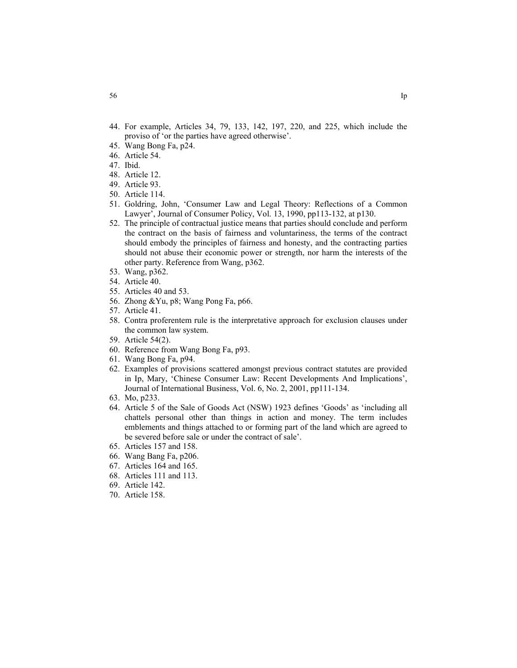- 44. For example, Articles 34, 79, 133, 142, 197, 220, and 225, which include the proviso of 'or the parties have agreed otherwise'.
- 45. Wang Bong Fa, p24.
- 46. Article 54.
- 47. Ibid.
- 48. Article 12.
- 49. Article 93.
- 50. Article 114.
- 51. Goldring, John, 'Consumer Law and Legal Theory: Reflections of a Common Lawyer', Journal of Consumer Policy, Vol. 13, 1990, pp113-132, at p130.
- 52. The principle of contractual justice means that parties should conclude and perform the contract on the basis of fairness and voluntariness, the terms of the contract should embody the principles of fairness and honesty, and the contracting parties should not abuse their economic power or strength, nor harm the interests of the other party. Reference from Wang, p362.
- 53. Wang, p362.
- 54. Article 40.
- 55. Articles 40 and 53.
- 56. Zhong &Yu, p8; Wang Pong Fa, p66.
- 57. Article 41.
- 58. Contra proferentem rule is the interpretative approach for exclusion clauses under the common law system.
- 59. Article 54(2).
- 60. Reference from Wang Bong Fa, p93.
- 61. Wang Bong Fa, p94.
- 62. Examples of provisions scattered amongst previous contract statutes are provided in Ip, Mary, 'Chinese Consumer Law: Recent Developments And Implications', Journal of International Business, Vol. 6, No. 2, 2001, pp111-134.
- 63. Mo, p233.
- 64. Article 5 of the Sale of Goods Act (NSW) 1923 defines 'Goods' as 'including all chattels personal other than things in action and money. The term includes emblements and things attached to or forming part of the land which are agreed to be severed before sale or under the contract of sale'.
- 65. Articles 157 and 158.
- 66. Wang Bang Fa, p206.
- 67. Articles 164 and 165.
- 68. Articles 111 and 113.
- 69. Article 142.
- 70. Article 158.